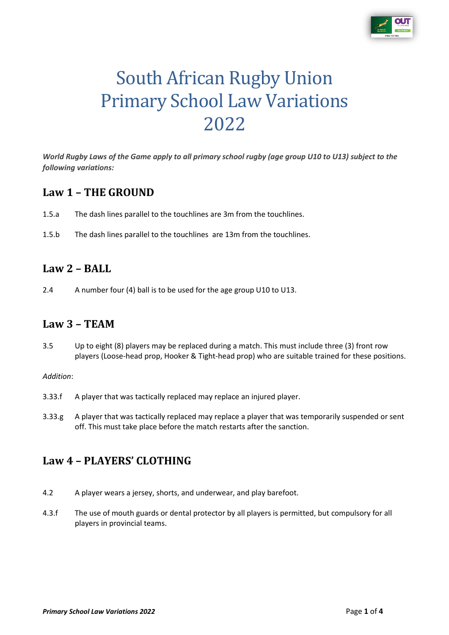

# South African Rugby Union Primary School Law Variations 2022

*World Rugby Laws of the Game apply to all primary school rugby (age group U10 to U13) subject to the following variations:*

#### **Law 1 – THE GROUND**

- 1.5.a The dash lines parallel to the touchlines are 3m from the touchlines.
- 1.5.b The dash lines parallel to the touchlines are 13m from the touchlines.

#### **Law 2 – BALL**

2.4 A number four (4) ball is to be used for the age group U10 to U13.

#### **Law 3 – TEAM**

3.5 Up to eight (8) players may be replaced during a match. This must include three (3) front row players (Loose-head prop, Hooker & Tight-head prop) who are suitable trained for these positions.

#### *Addition*:

- 3.33.f A player that was tactically replaced may replace an injured player.
- 3.33.g A player that was tactically replaced may replace a player that was temporarily suspended or sent off. This must take place before the match restarts after the sanction.

#### **Law 4 – PLAYERS' CLOTHING**

- 4.2 A player wears a jersey, shorts, and underwear, and play barefoot.
- 4.3.f The use of mouth guards or dental protector by all players is permitted, but compulsory for all players in provincial teams.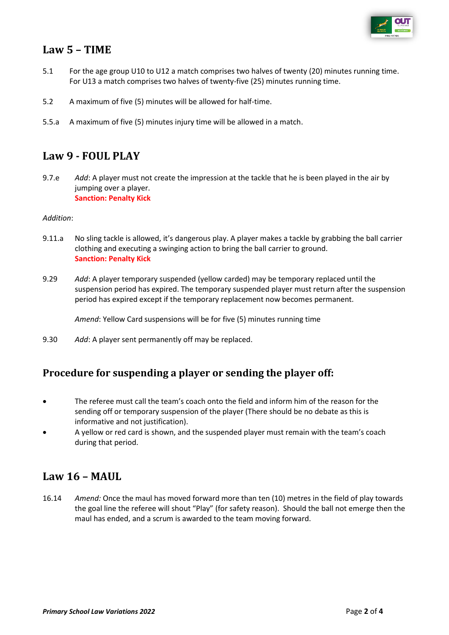

## **Law 5 – TIME**

- 5.1 For the age group U10 to U12 a match comprises two halves of twenty (20) minutes running time. For U13 a match comprises two halves of twenty-five (25) minutes running time.
- 5.2 A maximum of five (5) minutes will be allowed for half-time.
- 5.5.a A maximum of five (5) minutes injury time will be allowed in a match.

#### **Law 9 - FOUL PLAY**

9.7.e *Add*: A player must not create the impression at the tackle that he is been played in the air by jumping over a player. **Sanction: Penalty Kick**

#### *Addition*:

- 9.11.a No sling tackle is allowed, it's dangerous play. A player makes a tackle by grabbing the ball carrier clothing and executing a swinging action to bring the ball carrier to ground. **Sanction: Penalty Kick**
- 9.29 *Add*: A player temporary suspended (yellow carded) may be temporary replaced until the suspension period has expired. The temporary suspended player must return after the suspension period has expired except if the temporary replacement now becomes permanent.

*Amend*: Yellow Card suspensions will be for five (5) minutes running time

9.30 *Add*: A player sent permanently off may be replaced.

#### **Procedure for suspending a player or sending the player off:**

- The referee must call the team's coach onto the field and inform him of the reason for the sending off or temporary suspension of the player (There should be no debate as this is informative and not justification).
- A yellow or red card is shown, and the suspended player must remain with the team's coach during that period.

#### **Law 16 – MAUL**

16.14 *Amend:* Once the maul has moved forward more than ten (10) metres in the field of play towards the goal line the referee will shout "Play" (for safety reason). Should the ball not emerge then the maul has ended, and a scrum is awarded to the team moving forward.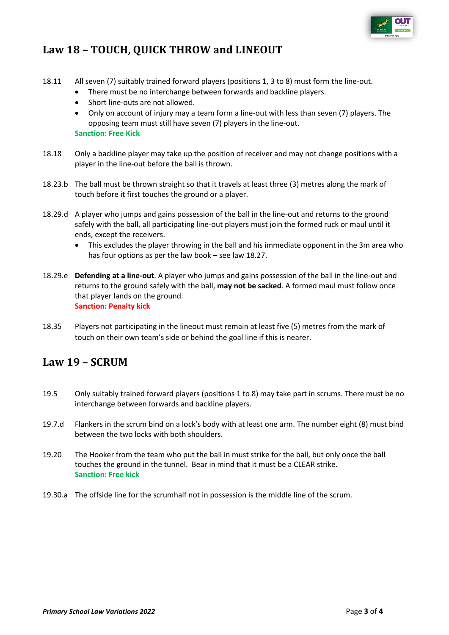

# **Law 18 – TOUCH, QUICK THROW and LINEOUT**

- 18.11 All seven (7) suitably trained forward players (positions 1, 3 to 8) must form the line-out.
	- There must be no interchange between forwards and backline players.
	- Short line-outs are not allowed.
	- Only on account of injury may a team form a line-out with less than seven (7) players. The opposing team must still have seven (7) players in the line-out. **Sanction: Free Kick**
- 18.18 Only a backline player may take up the position of receiver and may not change positions with a player in the line-out before the ball is thrown.
- 18.23.b The ball must be thrown straight so that it travels at least three (3) metres along the mark of touch before it first touches the ground or a player.
- 18.29.d A player who jumps and gains possession of the ball in the line-out and returns to the ground safely with the ball, all participating line-out players must join the formed ruck or maul until it ends, except the receivers.
	- This excludes the player throwing in the ball and his immediate opponent in the 3m area who has four options as per the law book – see law 18.27.
- 18.29.e **Defending at a line-out**. A player who jumps and gains possession of the ball in the line-out and returns to the ground safely with the ball, **may not be sacked**. A formed maul must follow once that player lands on the ground. **Sanction: Penalty kick**
- 18.35 Players not participating in the lineout must remain at least five (5) metres from the mark of touch on their own team's side or behind the goal line if this is nearer.

## **Law 19 – SCRUM**

- 19.5 Only suitably trained forward players (positions 1 to 8) may take part in scrums. There must be no interchange between forwards and backline players.
- 19.7.d Flankers in the scrum bind on a lock's body with at least one arm. The number eight (8) must bind between the two locks with both shoulders.
- 19.20 The Hooker from the team who put the ball in must strike for the ball, but only once the ball touches the ground in the tunnel. Bear in mind that it must be a CLEAR strike. **Sanction: Free kick**
- 19.30.a The offside line for the scrumhalf not in possession is the middle line of the scrum.